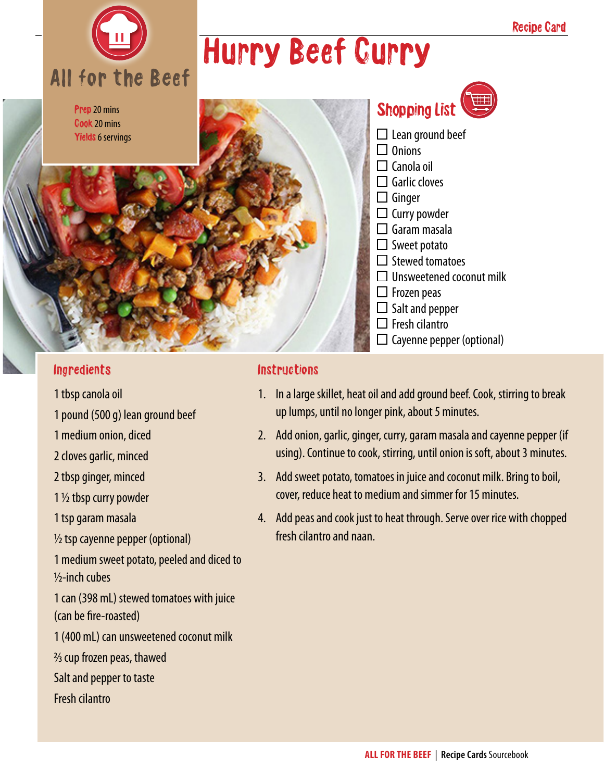

Prep 20 mins Cook 20 mins Yields 6 servings

## Hurry Beef Curry

| Shopping List                   |
|---------------------------------|
| $\Box$ Lean ground beef         |
| $\Box$ Onions                   |
| $\Box$ Canola oil               |
| $\Box$ Garlic cloves            |
| $\Box$ Ginger                   |
| $\Box$ Curry powder             |
| $\square$ Garam masala          |
| $\Box$ Sweet potato             |
| $\Box$ Stewed tomatoes          |
| $\Box$ Unsweetened coconut milk |
| $\Box$ Frozen peas              |
| $\Box$ Salt and pepper          |
| $\Box$ Fresh cilantro           |
| Cayenne pepper (optional)       |

#### Ingredients

- 1 tbsp canola oil
- 1 pound (500 g) lean ground beef
- 1 medium onion, diced
- 2 cloves garlic, minced
- 2 tbsp ginger, minced
- 1 ½ tbsp curry powder
- 1 tsp garam masala
- ½ tsp cayenne pepper (optional)
- 1 medium sweet potato, peeled and diced to ½-inch cubes
- 1 can (398 mL) stewed tomatoes with juice (can be fire-roasted)
- 1 (400 mL) can unsweetened coconut milk
- 2/3 cup frozen peas, thawed
- Salt and pepper to taste
- Fresh cilantro

#### **Instructions**

- 1. In a large skillet, heat oil and add ground beef. Cook, stirring to break up lumps, until no longer pink, about 5 minutes.
- 2. Add onion, garlic, ginger, curry, garam masala and cayenne pepper (if using). Continue to cook, stirring, until onion is soft, about 3 minutes.
- 3. Add sweet potato, tomatoes in juice and coconut milk. Bring to boil, cover, reduce heat to medium and simmer for 15 minutes.
- 4. Add peas and cook just to heat through. Serve over rice with chopped fresh cilantro and naan.